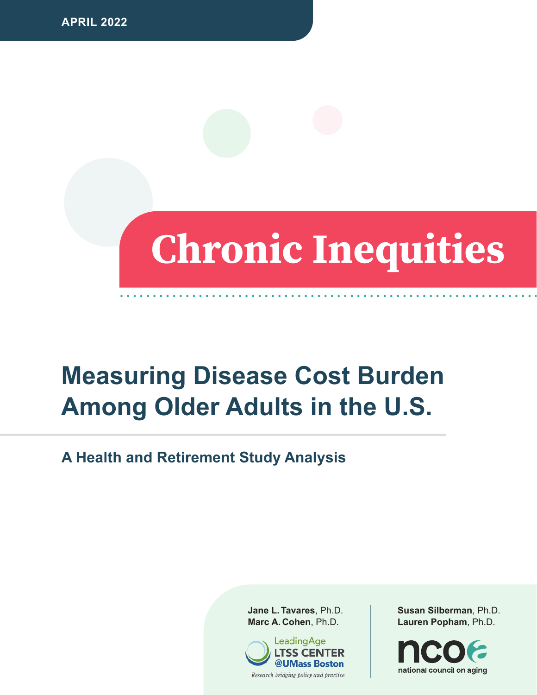# **Chronic Inequities**

## **Measuring Disease Cost Burden Among Older Adults in the U.S.**

**A Health and Retirement Study Analysis**

**Jane L. Tavares**, Ph.D. **Marc A. Cohen**, Ph.D.



**Susan Silberman**, Ph.D. **Lauren Popham**, Ph.D.

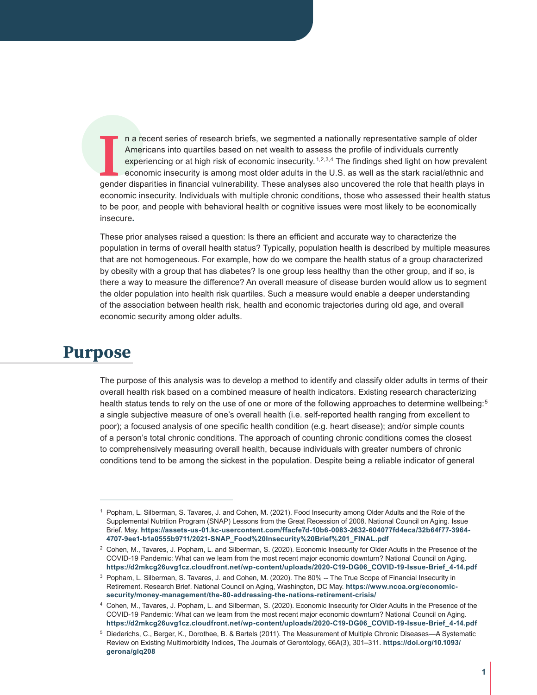I I a recent series of research briefs, we segmented a nationally representative sample of older<br>
Americans into quartiles based on net wealth to assess the profile of individuals currently<br>
experiencing or at high risk of Americans into quartiles based on net wealth to assess the profile of individuals currently experiencing or at high risk of economic insecurity.  $1,2,3,4$  The findings shed light on how prevalent economic insecurity is among most older adults in the U.S. as well as the stark racial/ethnic and economic insecurity. Individuals with multiple chronic conditions, those who assessed their health status to be poor, and people with behavioral health or cognitive issues were most likely to be economically insecure**.**

These prior analyses raised a question: Is there an efficient and accurate way to characterize the population in terms of overall health status? Typically, population health is described by multiple measures that are not homogeneous. For example, how do we compare the health status of a group characterized by obesity with a group that has diabetes? Is one group less healthy than the other group, and if so, is there a way to measure the difference? An overall measure of disease burden would allow us to segment the older population into health risk quartiles. Such a measure would enable a deeper understanding of the association between health risk, health and economic trajectories during old age, and overall economic security among older adults.

#### **Purpose**

The purpose of this analysis was to develop a method to identify and classify older adults in terms of their overall health risk based on a combined measure of health indicators. Existing research characterizing health status tends to rely on the use of one or more of the following approaches to determine wellbeing:<sup>5</sup> a single subjective measure of one's overall health (i.e. self-reported health ranging from excellent to poor); a focused analysis of one specific health condition (e.g. heart disease); and/or simple counts of a person's total chronic conditions. The approach of counting chronic conditions comes the closest to comprehensively measuring overall health, because individuals with greater numbers of chronic conditions tend to be among the sickest in the population. Despite being a reliable indicator of general

<sup>1</sup> Popham, L. Silberman, S. Tavares, J. and Cohen, M. (2021). Food Insecurity among Older Adults and the Role of the Supplemental Nutrition Program (SNAP) Lessons from the Great Recession of 2008. National Council on Aging. Issue Brief. May. **[https://assets-us-01.kc-usercontent.com/ffacfe7d-10b6-0083-2632-604077fd4eca/32b64f77-3964-](https://assets-us-01.kc-usercontent.com/ffacfe7d-10b6-0083-2632-604077fd4eca/32b64f77-3964-4707-9ee1-b1a0555b9711/2021-SNAP_Food%20Insecurity%20Brief%201_FINAL.pdf) [4707-9ee1-b1a0555b9711/2021-SNAP\\_Food%20Insecurity%20Brief%201\\_FINAL.pdf](https://assets-us-01.kc-usercontent.com/ffacfe7d-10b6-0083-2632-604077fd4eca/32b64f77-3964-4707-9ee1-b1a0555b9711/2021-SNAP_Food%20Insecurity%20Brief%201_FINAL.pdf)**

<sup>2</sup> Cohen, M., Tavares, J. Popham, L. and Silberman, S. (2020). Economic Insecurity for Older Adults in the Presence of the COVID-19 Pandemic: What can we learn from the most recent major economic downturn? National Council on Aging. **[https://d2mkcg26uvg1cz.cloudfront.net/wp-content/uploads/2020-C19-DG06\\_COVID-19-Issue-Brief\\_4-14.pdf](https://d2mkcg26uvg1cz.cloudfront.net/wp-content/uploads/2020-C19-DG06_COVID-19-Issue-Brief_4-14.pdf)**

<sup>&</sup>lt;sup>3</sup> Popham, L. Silberman, S. Tavares, J. and Cohen, M. (2020). The 80% -- The True Scope of Financial Insecurity in Retirement. Research Brief. National Council on Aging, Washington, DC May. **[https://www.ncoa.org/economic](https://www.ncoa.org/economic-security/money-management/the-80-addressing-the-nations-retirement-crisis/)[security/money-management/the-80-addressing-the-nations-retirement-crisis/](https://www.ncoa.org/economic-security/money-management/the-80-addressing-the-nations-retirement-crisis/)**

<sup>4</sup> Cohen, M., Tavares, J. Popham, L. and Silberman, S. (2020). Economic Insecurity for Older Adults in the Presence of the COVID-19 Pandemic: What can we learn from the most recent major economic downturn? National Council on Aging. **[https://d2mkcg26uvg1cz.cloudfront.net/wp-content/uploads/2020-C19-DG06\\_COVID-19-Issue-Brief\\_4-14.pdf](https://d2mkcg26uvg1cz.cloudfront.net/wp-content/uploads/2020-C19-DG06_COVID-19-Issue-Brief_4-14.pdf)**

<sup>5</sup> Diederichs, C., Berger, K., Dorothee, B. & Bartels (2011). The Measurement of Multiple Chronic Diseases—A Systematic Review on Existing Multimorbidity Indices, The Journals of Gerontology, 66A(3), 301–311. **[https://doi.org/10.1093/](https://doi.org/10.1093/gerona/glq208) [gerona/glq208](https://doi.org/10.1093/gerona/glq208)**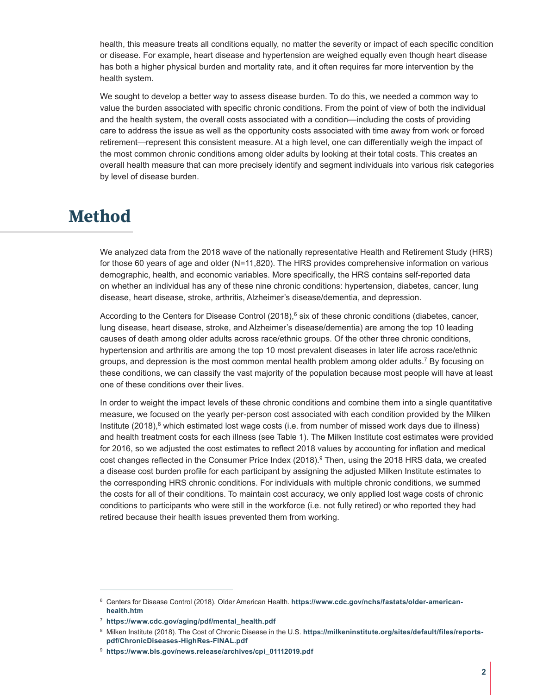health, this measure treats all conditions equally, no matter the severity or impact of each specific condition or disease. For example, heart disease and hypertension are weighed equally even though heart disease has both a higher physical burden and mortality rate, and it often requires far more intervention by the health system.

We sought to develop a better way to assess disease burden. To do this, we needed a common way to value the burden associated with specific chronic conditions. From the point of view of both the individual and the health system, the overall costs associated with a condition—including the costs of providing care to address the issue as well as the opportunity costs associated with time away from work or forced retirement—represent this consistent measure. At a high level, one can differentially weigh the impact of the most common chronic conditions among older adults by looking at their total costs. This creates an overall health measure that can more precisely identify and segment individuals into various risk categories by level of disease burden.

#### **Method**

We analyzed data from the 2018 wave of the nationally representative Health and Retirement Study (HRS) for those 60 years of age and older (N=11,820). The HRS provides comprehensive information on various demographic, health, and economic variables. More specifically, the HRS contains self-reported data on whether an individual has any of these nine chronic conditions: hypertension, diabetes, cancer, lung disease, heart disease, stroke, arthritis, Alzheimer's disease/dementia, and depression.

According to the Centers for Disease Control  $(2018)<sup>6</sup>$  six of these chronic conditions (diabetes, cancer, lung disease, heart disease, stroke, and Alzheimer's disease/dementia) are among the top 10 leading causes of death among older adults across race/ethnic groups. Of the other three chronic conditions, hypertension and arthritis are among the top 10 most prevalent diseases in later life across race/ethnic groups, and depression is the most common mental health problem among older adults.<sup>7</sup> By focusing on these conditions, we can classify the vast majority of the population because most people will have at least one of these conditions over their lives.

In order to weight the impact levels of these chronic conditions and combine them into a single quantitative measure, we focused on the yearly per-person cost associated with each condition provided by the Milken Institute  $(2018)$ ,<sup>8</sup> which estimated lost wage costs (i.e. from number of missed work days due to illness) and health treatment costs for each illness (see Table 1). The Milken Institute cost estimates were provided for 2016, so we adjusted the cost estimates to reflect 2018 values by accounting for inflation and medical cost changes reflected in the Consumer Price Index (2018).<sup>9</sup> Then, using the 2018 HRS data, we created a disease cost burden profile for each participant by assigning the adjusted Milken Institute estimates to the corresponding HRS chronic conditions. For individuals with multiple chronic conditions, we summed the costs for all of their conditions. To maintain cost accuracy, we only applied lost wage costs of chronic conditions to participants who were still in the workforce (i.e. not fully retired) or who reported they had retired because their health issues prevented them from working.

<sup>6</sup> Centers for Disease Control (2018). Older American Health. **[https://www.cdc.gov/nchs/fastats/older-american](https://www.cdc.gov/nchs/fastats/older-american-health.htm)[health.htm](https://www.cdc.gov/nchs/fastats/older-american-health.htm)**

<sup>7</sup> **[https://www.cdc.gov/aging/pdf/mental\\_health.pdf](https://www.cdc.gov/aging/pdf/mental_health.pdf)**

<sup>8</sup> Milken Institute (2018). The Cost of Chronic Disease in the U.S. **[https://milkeninstitute.org/sites/default/files/reports](https://milkeninstitute.org/sites/default/files/reports-pdf/ChronicDiseases-HighRes-FINAL.pdf)[pdf/ChronicDiseases-HighRes-FINAL.pdf](https://milkeninstitute.org/sites/default/files/reports-pdf/ChronicDiseases-HighRes-FINAL.pdf)**

<sup>9</sup> **[https://www.bls.gov/news.release/archives/cpi\\_01112019.pdf](https://www.bls.gov/news.release/archives/cpi_01112019.pdf)**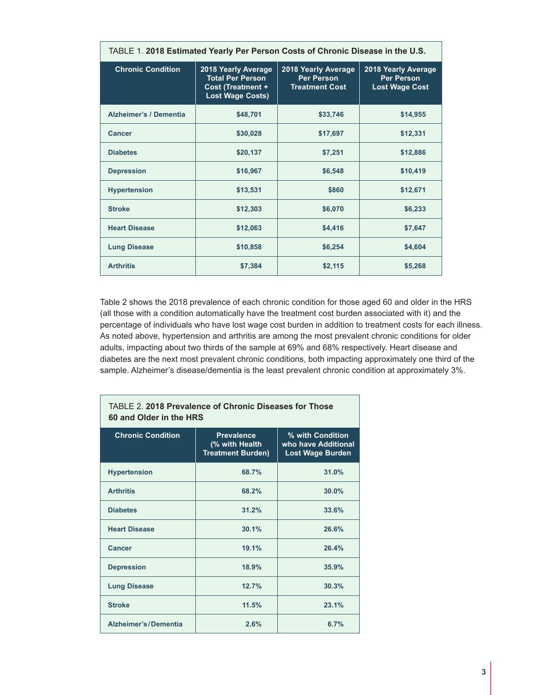| TABLE 1. 2018 Estimated Yearly Per Person Costs of Chronic Disease in the U.S. |                                                                                                       |                                                                   |          |  |  |
|--------------------------------------------------------------------------------|-------------------------------------------------------------------------------------------------------|-------------------------------------------------------------------|----------|--|--|
| <b>Chronic Condition</b>                                                       | 2018 Yearly Average<br><b>Total Per Person</b><br><b>Cost (Treatment +</b><br><b>Lost Wage Costs)</b> | 2018 Yearly Average<br><b>Per Person</b><br><b>Treatment Cost</b> |          |  |  |
| <b>Alzheimer's / Dementia</b>                                                  | \$48,701                                                                                              | \$33,746                                                          | \$14,955 |  |  |
| <b>Cancer</b>                                                                  | \$30,028                                                                                              | \$17,697                                                          | \$12,331 |  |  |
| <b>Diabetes</b>                                                                | \$20,137                                                                                              | \$7,251                                                           | \$12,886 |  |  |
| <b>Depression</b>                                                              | \$16,967                                                                                              | \$6,548                                                           | \$10,419 |  |  |
| <b>Hypertension</b>                                                            | \$13,531                                                                                              | \$860                                                             | \$12,671 |  |  |
| <b>Stroke</b>                                                                  | \$12,303                                                                                              | \$6,070                                                           | \$6,233  |  |  |
| <b>Heart Disease</b>                                                           | \$12,063                                                                                              | \$4,416                                                           | \$7,647  |  |  |
| <b>Lung Disease</b>                                                            | \$10,858                                                                                              | \$6,254                                                           | \$4,604  |  |  |
| <b>Arthritis</b>                                                               | \$7,384                                                                                               | \$2,115                                                           | \$5,268  |  |  |

Table 2 shows the 2018 prevalence of each chronic condition for those aged 60 and older in the HRS (all those with a condition automatically have the treatment cost burden associated with it) and the percentage of individuals who have lost wage cost burden in addition to treatment costs for each illness. As noted above, hypertension and arthritis are among the most prevalent chronic conditions for older adults, impacting about two thirds of the sample at 69% and 68% respectively. Heart disease and diabetes are the next most prevalent chronic conditions, both impacting approximately one third of the sample. Alzheimer's disease/dementia is the least prevalent chronic condition at approximately 3%.

| 60 and Older in the HRS     |                                                                 |                                                                    |  |  |  |
|-----------------------------|-----------------------------------------------------------------|--------------------------------------------------------------------|--|--|--|
| <b>Chronic Condition</b>    | <b>Prevalence</b><br>(% with Health<br><b>Treatment Burden)</b> | % with Condition<br>who have Additional<br><b>Lost Wage Burden</b> |  |  |  |
| <b>Hypertension</b>         | 68.7%                                                           | 31.0%                                                              |  |  |  |
| <b>Arthritis</b>            | 68.2%                                                           | 30.0%                                                              |  |  |  |
| <b>Diabetes</b>             | 31.2%                                                           | 33.6%                                                              |  |  |  |
| <b>Heart Disease</b>        | 30.1%                                                           | 26.6%                                                              |  |  |  |
| Cancer                      | 19.1%                                                           | 26.4%                                                              |  |  |  |
| <b>Depression</b>           | 18.9%                                                           | 35.9%                                                              |  |  |  |
| <b>Lung Disease</b>         | 12.7%                                                           | 30.3%                                                              |  |  |  |
| <b>Stroke</b>               | 11.5%                                                           | 23.1%                                                              |  |  |  |
| <b>Alzheimer's/Dementia</b> | 2.6%                                                            | 6.7%                                                               |  |  |  |

# TABLE 2. **2018 Prevalence of Chronic Diseases for Those**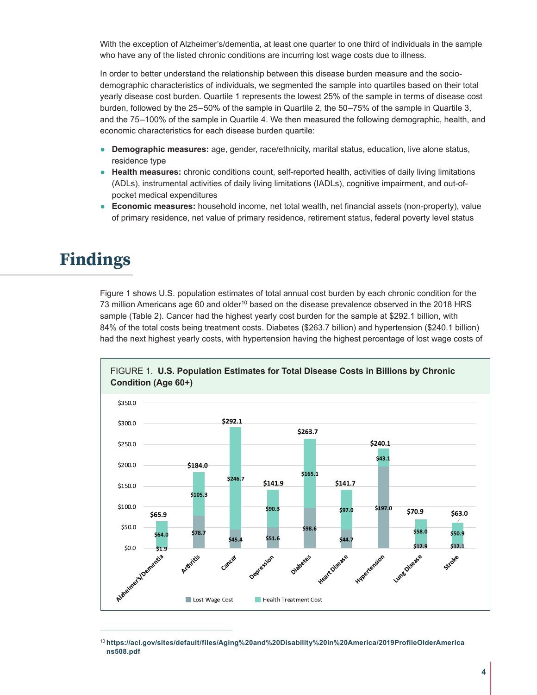With the exception of Alzheimer's/dementia, at least one quarter to one third of individuals in the sample who have any of the listed chronic conditions are incurring lost wage costs due to illness.

In order to better understand the relationship between this disease burden measure and the sociodemographic characteristics of individuals, we segmented the sample into quartiles based on their total yearly disease cost burden. Quartile 1 represents the lowest 25% of the sample in terms of disease cost burden, followed by the 25–50% of the sample in Quartile 2, the 50–75% of the sample in Quartile 3, and the 75–100% of the sample in Quartile 4. We then measured the following demographic, health, and economic characteristics for each disease burden quartile:

- **Demographic measures:** age, gender, race/ethnicity, marital status, education, live alone status, residence type
- **Health measures:** chronic conditions count, self-reported health, activities of daily living limitations (ADLs), instrumental activities of daily living limitations (IADLs), cognitive impairment, and out-ofpocket medical expenditures
- **Economic measures:** household income, net total wealth, net financial assets (non-property), value of primary residence, net value of primary residence, retirement status, federal poverty level status

#### **Findings**

Figure 1 shows U.S. population estimates of total annual cost burden by each chronic condition for the 73 million Americans age 60 and older<sup>10</sup> based on the disease prevalence observed in the 2018 HRS sample (Table 2). Cancer had the highest yearly cost burden for the sample at \$292.1 billion, with 84% of the total costs being treatment costs. Diabetes (\$263.7 billion) and hypertension (\$240.1 billion) had the next highest yearly costs, with hypertension having the highest percentage of lost wage costs of



<sup>10</sup> **[https://acl.gov/sites/default/files/Aging%20and%20Disability%20in%20America/2019ProfileOlderAmerica](https://acl.gov/sites/default/files/Aging%20and%20Disability%20in%20America/2019ProfileOlderAmericans508.pdf) [ns508.pdf](https://acl.gov/sites/default/files/Aging%20and%20Disability%20in%20America/2019ProfileOlderAmericans508.pdf)**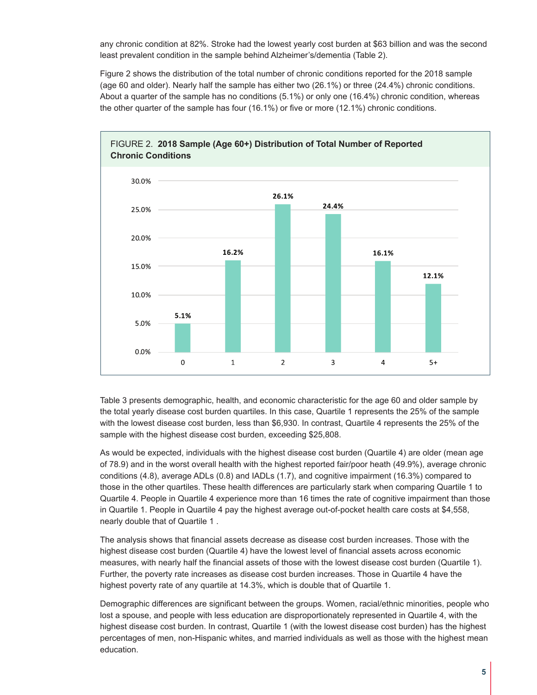any chronic condition at 82%. Stroke had the lowest yearly cost burden at \$63 billion and was the second least prevalent condition in the sample behind Alzheimer's/dementia (Table 2).

Figure 2 shows the distribution of the total number of chronic conditions reported for the 2018 sample (age 60 and older). Nearly half the sample has either two (26.1%) or three (24.4%) chronic conditions. About a quarter of the sample has no conditions (5.1%) or only one (16.4%) chronic condition, whereas the other quarter of the sample has four (16.1%) or five or more (12.1%) chronic conditions.



Table 3 presents demographic, health, and economic characteristic for the age 60 and older sample by the total yearly disease cost burden quartiles. In this case, Quartile 1 represents the 25% of the sample with the lowest disease cost burden, less than \$6,930. In contrast, Quartile 4 represents the 25% of the sample with the highest disease cost burden, exceeding \$25,808.

As would be expected, individuals with the highest disease cost burden (Quartile 4) are older (mean age of 78.9) and in the worst overall health with the highest reported fair/poor heath (49.9%), average chronic conditions (4.8), average ADLs (0.8) and IADLs (1.7), and cognitive impairment (16.3%) compared to those in the other quartiles. These health differences are particularly stark when comparing Quartile 1 to Quartile 4. People in Quartile 4 experience more than 16 times the rate of cognitive impairment than those in Quartile 1. People in Quartile 4 pay the highest average out-of-pocket health care costs at \$4,558, nearly double that of Quartile 1 .

The analysis shows that financial assets decrease as disease cost burden increases. Those with the highest disease cost burden (Quartile 4) have the lowest level of financial assets across economic measures, with nearly half the financial assets of those with the lowest disease cost burden (Quartile 1). Further, the poverty rate increases as disease cost burden increases. Those in Quartile 4 have the highest poverty rate of any quartile at 14.3%, which is double that of Quartile 1.

Demographic differences are significant between the groups. Women, racial/ethnic minorities, people who lost a spouse, and people with less education are disproportionately represented in Quartile 4, with the highest disease cost burden. In contrast, Quartile 1 (with the lowest disease cost burden) has the highest percentages of men, non-Hispanic whites, and married individuals as well as those with the highest mean education.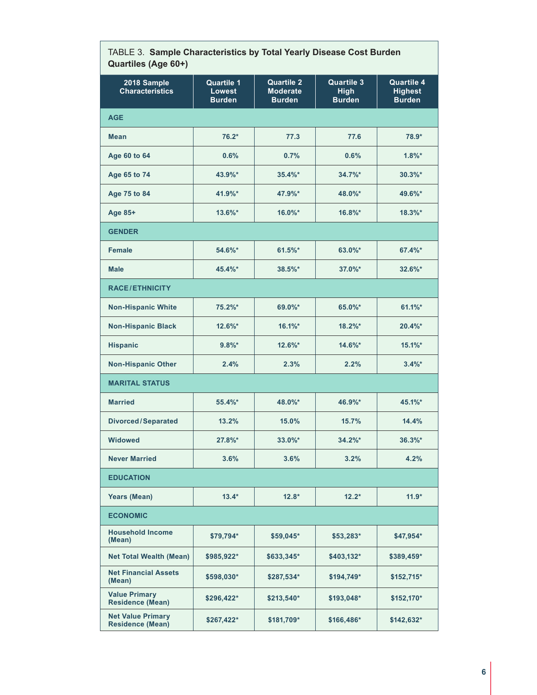| $\sim$<br>Quartiles (Age 60+)                       |                                                     |                                                       |                                                   |                                                      |  |  |  |
|-----------------------------------------------------|-----------------------------------------------------|-------------------------------------------------------|---------------------------------------------------|------------------------------------------------------|--|--|--|
| 2018 Sample<br><b>Characteristics</b>               | <b>Quartile 1</b><br><b>Lowest</b><br><b>Burden</b> | <b>Quartile 2</b><br><b>Moderate</b><br><b>Burden</b> | <b>Quartile 3</b><br><b>High</b><br><b>Burden</b> | <b>Quartile 4</b><br><b>Highest</b><br><b>Burden</b> |  |  |  |
| <b>AGE</b>                                          |                                                     |                                                       |                                                   |                                                      |  |  |  |
| <b>Mean</b>                                         | $76.2*$                                             | 77.3                                                  | 77.6                                              | 78.9*                                                |  |  |  |
| Age 60 to 64                                        | 0.6%                                                | 0.7%                                                  | 0.6%                                              | $1.8\%$ *                                            |  |  |  |
| Age 65 to 74                                        | 43.9%*                                              | $35.4\%$ *                                            | $34.7\%$ *                                        | $30.3\%$ *                                           |  |  |  |
| Age 75 to 84                                        | 41.9%*                                              | 47.9%*                                                | 48.0%*                                            | 49.6%*                                               |  |  |  |
| Age 85+                                             | 13.6%*                                              | $16.0\%$ *                                            | $16.8\%$ *                                        | $18.3\%$ *                                           |  |  |  |
| <b>GENDER</b>                                       |                                                     |                                                       |                                                   |                                                      |  |  |  |
| <b>Female</b>                                       | 54.6%*                                              | $61.5\%$ *                                            | 63.0%*                                            | $67.4%$ *                                            |  |  |  |
| <b>Male</b>                                         | 45.4%*                                              | $38.5\%$ *                                            | $37.0\%$ *                                        | $32.6\%$ *                                           |  |  |  |
| <b>RACE/ETHNICITY</b>                               |                                                     |                                                       |                                                   |                                                      |  |  |  |
| <b>Non-Hispanic White</b>                           | 75.2%*                                              | 69.0%*                                                | 65.0%*                                            | $61.1\%$ *                                           |  |  |  |
| <b>Non-Hispanic Black</b>                           | 12.6%*                                              | $16.1\%$ *                                            | $18.2\%$ *                                        | $20.4%$ *                                            |  |  |  |
| <b>Hispanic</b>                                     | $9.8\%$ *                                           | $12.6\%$ *                                            | 14.6%*                                            | $15.1\%$ *                                           |  |  |  |
| <b>Non-Hispanic Other</b>                           | 2.4%                                                | 2.3%                                                  | 2.2%                                              | $3.4%$ *                                             |  |  |  |
| <b>MARITAL STATUS</b>                               |                                                     |                                                       |                                                   |                                                      |  |  |  |
| <b>Married</b>                                      | $55.4%$ *                                           | 48.0%*                                                | 46.9%*                                            | $45.1\%$ *                                           |  |  |  |
| <b>Divorced/Separated</b>                           | 13.2%                                               | 15.0%                                                 | 15.7%                                             | 14.4%                                                |  |  |  |
| <b>Widowed</b>                                      | 27.8%*                                              | $33.0\%$ *                                            | $34.2\%$ *                                        | $36.3%$ *                                            |  |  |  |
| <b>Never Married</b>                                | 3.6%                                                | 3.6%                                                  | 3.2%                                              | 4.2%                                                 |  |  |  |
| <b>EDUCATION</b>                                    |                                                     |                                                       |                                                   |                                                      |  |  |  |
| <b>Years (Mean)</b>                                 | $13.4*$                                             | $12.8*$                                               | $12.2*$                                           | $11.9*$                                              |  |  |  |
| <b>ECONOMIC</b>                                     |                                                     |                                                       |                                                   |                                                      |  |  |  |
| <b>Household Income</b><br>(Mean)                   | \$79,794*                                           | $$59,045*$                                            | \$53,283*                                         | $$47,954*$                                           |  |  |  |
| <b>Net Total Wealth (Mean)</b>                      | \$985,922*                                          | \$633,345*                                            | \$403,132*                                        | \$389,459*                                           |  |  |  |
| <b>Net Financial Assets</b><br>(Mean)               | \$598,030*                                          | \$287,534*                                            | $$194,749*$                                       | $$152,715^*$                                         |  |  |  |
| <b>Value Primary</b><br><b>Residence (Mean)</b>     | \$296,422*                                          | \$213,540*                                            | \$193,048*                                        | $$152,170*$                                          |  |  |  |
| <b>Net Value Primary</b><br><b>Residence (Mean)</b> | \$267,422*                                          | \$181,709*                                            | \$166,486*                                        | $$142,632*$                                          |  |  |  |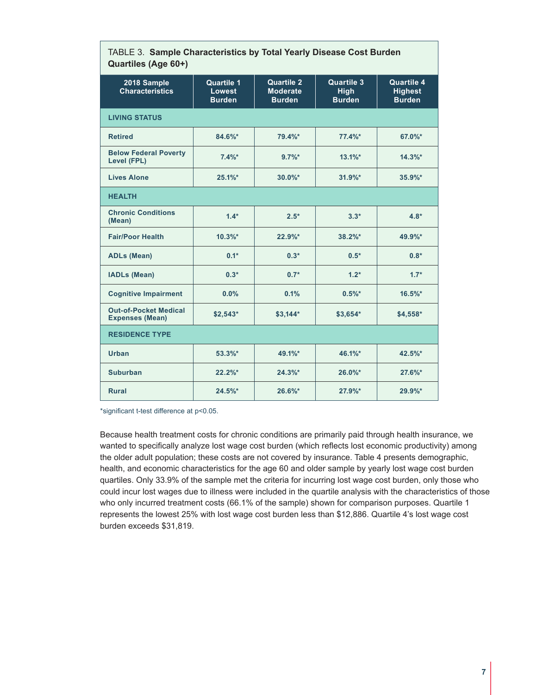| Quartiles (Age 60+)                                    |                                                     |                                                       |                                                   |                                                      |  |  |  |  |
|--------------------------------------------------------|-----------------------------------------------------|-------------------------------------------------------|---------------------------------------------------|------------------------------------------------------|--|--|--|--|
| 2018 Sample<br><b>Characteristics</b>                  | <b>Quartile 1</b><br><b>Lowest</b><br><b>Burden</b> | <b>Quartile 2</b><br><b>Moderate</b><br><b>Burden</b> | <b>Quartile 3</b><br><b>High</b><br><b>Burden</b> | <b>Quartile 4</b><br><b>Highest</b><br><b>Burden</b> |  |  |  |  |
| <b>LIVING STATUS</b>                                   |                                                     |                                                       |                                                   |                                                      |  |  |  |  |
| <b>Retired</b>                                         | $84.6\%$ *                                          | 79.4%*                                                | 77.4%*                                            | 67.0%*                                               |  |  |  |  |
| <b>Below Federal Poverty</b><br><b>Level (FPL)</b>     | 7.4%                                                | $9.7\%$ *                                             | $13.1\%$ *                                        | $14.3\%$ *                                           |  |  |  |  |
| <b>Lives Alone</b>                                     | 25.1%                                               | $30.0\%$ *                                            | $31.9%$ *                                         | 35.9%*                                               |  |  |  |  |
| <b>HEALTH</b>                                          |                                                     |                                                       |                                                   |                                                      |  |  |  |  |
| <b>Chronic Conditions</b><br>(Mean)                    | $1.4*$                                              | $2.5*$                                                | $3.3*$                                            | $4.8*$                                               |  |  |  |  |
| <b>Fair/Poor Health</b>                                | $10.3\%$ *                                          | $22.9\%$ *                                            | $38.2\%$ *                                        | $49.9\%$ *                                           |  |  |  |  |
| <b>ADLs (Mean)</b>                                     | $0.1*$                                              | $0.3*$                                                | $0.5*$                                            | $0.8*$                                               |  |  |  |  |
| <b>IADLs (Mean)</b>                                    | $0.3*$                                              | $0.7*$                                                | $1.2*$                                            | $1.7*$                                               |  |  |  |  |
| <b>Cognitive Impairment</b>                            | 0.0%                                                | 0.1%                                                  | $0.5\%$ *                                         | $16.5\%$ *                                           |  |  |  |  |
| <b>Out-of-Pocket Medical</b><br><b>Expenses (Mean)</b> | $$2,543*$                                           | $$3,144*$                                             | $$3,654*$                                         | $$4,558*$                                            |  |  |  |  |
| <b>RESIDENCE TYPE</b>                                  |                                                     |                                                       |                                                   |                                                      |  |  |  |  |
| Urban                                                  | $53.3\%$ *                                          | 49.1%*                                                | 46.1%*                                            | 42.5%*                                               |  |  |  |  |
| <b>Suburban</b>                                        | $22.2\%$ *                                          | 24.3%                                                 | $26.0\%$ *                                        | $27.6\%$ *                                           |  |  |  |  |
| <b>Rural</b>                                           | $24.5\%$ *                                          | 26.6%*                                                | 27.9%*                                            | 29.9%*                                               |  |  |  |  |

## TABLE 3. **Sample Characteristics by Total Yearly Disease Cost Burden**

\*significant t-test difference at p<0.05.

Because health treatment costs for chronic conditions are primarily paid through health insurance, we wanted to specifically analyze lost wage cost burden (which reflects lost economic productivity) among the older adult population; these costs are not covered by insurance. Table 4 presents demographic, health, and economic characteristics for the age 60 and older sample by yearly lost wage cost burden quartiles. Only 33.9% of the sample met the criteria for incurring lost wage cost burden, only those who could incur lost wages due to illness were included in the quartile analysis with the characteristics of those who only incurred treatment costs (66.1% of the sample) shown for comparison purposes. Quartile 1 represents the lowest 25% with lost wage cost burden less than \$12,886. Quartile 4's lost wage cost burden exceeds \$31,819.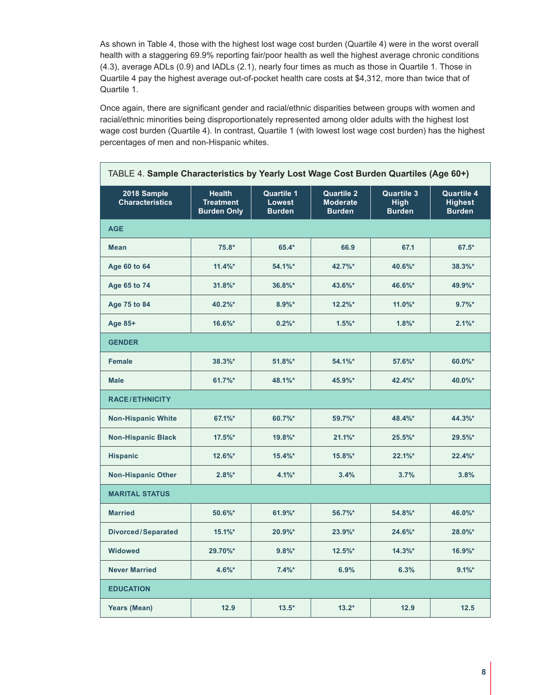As shown in Table 4, those with the highest lost wage cost burden (Quartile 4) were in the worst overall health with a staggering 69.9% reporting fair/poor health as well the highest average chronic conditions (4.3), average ADLs (0.9) and IADLs (2.1), nearly four times as much as those in Quartile 1. Those in Quartile 4 pay the highest average out-of-pocket health care costs at \$4,312, more than twice that of Quartile 1.

Once again, there are significant gender and racial/ethnic disparities between groups with women and racial/ethnic minorities being disproportionately represented among older adults with the highest lost wage cost burden (Quartile 4). In contrast, Quartile 1 (with lowest lost wage cost burden) has the highest percentages of men and non-Hispanic whites.

| TABLE 4. Sample Characteristics by Yearly Lost Wage Cost Burden Quartiles (Age 60+) |                                                         |                                                     |                                                       |                                                   |                                                      |  |
|-------------------------------------------------------------------------------------|---------------------------------------------------------|-----------------------------------------------------|-------------------------------------------------------|---------------------------------------------------|------------------------------------------------------|--|
| 2018 Sample<br><b>Characteristics</b>                                               | <b>Health</b><br><b>Treatment</b><br><b>Burden Only</b> | <b>Quartile 1</b><br><b>Lowest</b><br><b>Burden</b> | <b>Quartile 2</b><br><b>Moderate</b><br><b>Burden</b> | <b>Quartile 3</b><br><b>High</b><br><b>Burden</b> | <b>Quartile 4</b><br><b>Highest</b><br><b>Burden</b> |  |
| <b>AGE</b>                                                                          |                                                         |                                                     |                                                       |                                                   |                                                      |  |
| <b>Mean</b>                                                                         | $75.8*$                                                 | 65.4*                                               | 66.9                                                  | 67.1                                              | $67.5*$                                              |  |
| Age 60 to 64                                                                        | $11.4\%$ *                                              | 54.1%*                                              | 42.7%*                                                | 40.6%*                                            | $38.3%$ *                                            |  |
| Age 65 to 74                                                                        | $31.8\%$ *                                              | 36.8%*                                              | 43.6%*                                                | 46.6%*                                            | 49.9%*                                               |  |
| Age 75 to 84                                                                        | 40.2%*                                                  | $8.9%$ *                                            | $12.2\%$ *                                            | $11.0\%$ *                                        | $9.7\%$ *                                            |  |
| Age 85+                                                                             | $16.6\%$ *                                              | $0.2%$ *                                            | $1.5%$ *                                              | 1.8%                                              | $2.1\%$ *                                            |  |
| <b>GENDER</b>                                                                       |                                                         |                                                     |                                                       |                                                   |                                                      |  |
| <b>Female</b>                                                                       | 38.3%*                                                  | $51.8\%$ *                                          | 54.1%*                                                | 57.6%*                                            | 60.0%*                                               |  |
| <b>Male</b>                                                                         | 61.7%*                                                  | 48.1%*                                              | 45.9%*                                                | 42.4%*                                            | 40.0%*                                               |  |
| <b>RACE/ETHNICITY</b>                                                               |                                                         |                                                     |                                                       |                                                   |                                                      |  |
| <b>Non-Hispanic White</b>                                                           | 67.1%*                                                  | 60.7%*                                              | 59.7%*                                                | 48.4%*                                            | 44.3%*                                               |  |
| <b>Non-Hispanic Black</b>                                                           | $17.5\%$ *                                              | 19.8%*                                              | 21.1%                                                 | $25.5\%$ *                                        | $29.5\%$ *                                           |  |
| <b>Hispanic</b>                                                                     | $12.6\%$ *                                              | $15.4\%$ *                                          | $15.8\%$ *                                            | 22.1%                                             | 22.4%                                                |  |
| <b>Non-Hispanic Other</b>                                                           | $2.8%$ *                                                | 4.1%                                                | 3.4%                                                  | 3.7%                                              | 3.8%                                                 |  |
| <b>MARITAL STATUS</b>                                                               |                                                         |                                                     |                                                       |                                                   |                                                      |  |
| <b>Married</b>                                                                      | 50.6%*                                                  | 61.9%*                                              | 56.7%*                                                | 54.8%*                                            | 46.0%*                                               |  |
| <b>Divorced/Separated</b>                                                           | 15.1%                                                   | 20.9%*                                              | $23.9%$ *                                             | $24.6\%$ *                                        | 28.0%*                                               |  |
| <b>Widowed</b>                                                                      | 29.70%*                                                 | $9.8\%$ *                                           | $12.5\%$ *                                            | $14.3\%$                                          | 16.9%*                                               |  |
| <b>Never Married</b>                                                                | $4.6\%$ *                                               | 7.4%                                                | 6.9%                                                  | 6.3%                                              | $9.1\%$ *                                            |  |
| <b>EDUCATION</b>                                                                    |                                                         |                                                     |                                                       |                                                   |                                                      |  |
| <b>Years (Mean)</b>                                                                 | 12.9                                                    | $13.5*$                                             | $13.2*$                                               | 12.9                                              | 12.5                                                 |  |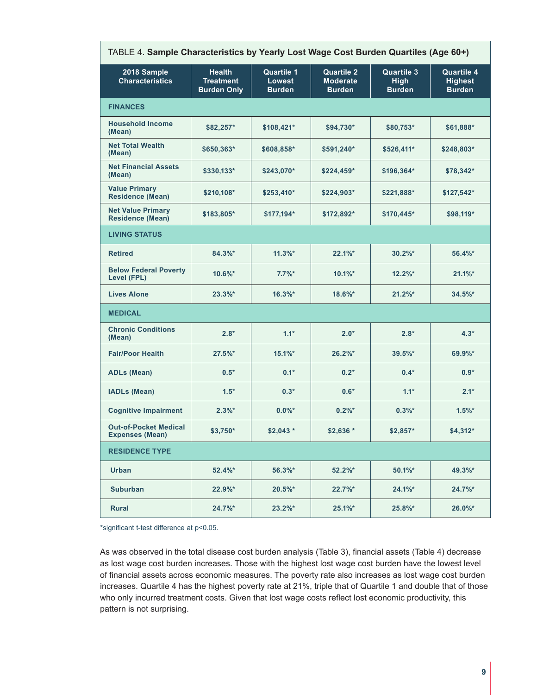| TABLE 4. Sample Characteristics by Yearly Lost Wage Cost Burden Quartiles (Age 60+) |                                                         |                                                     |                                                       |                                                   |                                                      |  |  |
|-------------------------------------------------------------------------------------|---------------------------------------------------------|-----------------------------------------------------|-------------------------------------------------------|---------------------------------------------------|------------------------------------------------------|--|--|
| 2018 Sample<br><b>Characteristics</b>                                               | <b>Health</b><br><b>Treatment</b><br><b>Burden Only</b> | <b>Quartile 1</b><br><b>Lowest</b><br><b>Burden</b> | <b>Quartile 2</b><br><b>Moderate</b><br><b>Burden</b> | <b>Quartile 3</b><br><b>High</b><br><b>Burden</b> | <b>Quartile 4</b><br><b>Highest</b><br><b>Burden</b> |  |  |
| <b>FINANCES</b>                                                                     |                                                         |                                                     |                                                       |                                                   |                                                      |  |  |
| <b>Household Income</b><br>(Mean)                                                   | \$82,257*                                               | \$108,421*                                          | \$94,730*                                             | \$80,753*                                         | \$61,888*                                            |  |  |
| <b>Net Total Wealth</b><br>(Mean)                                                   | \$650,363*                                              | \$608,858*                                          | \$591,240*                                            | \$526,411*                                        | \$248,803*                                           |  |  |
| <b>Net Financial Assets</b><br>(Mean)                                               | \$330,133*                                              | \$243,070*                                          | $$224,459*$                                           | \$196,364*                                        | \$78,342*                                            |  |  |
| <b>Value Primary</b><br><b>Residence (Mean)</b>                                     | \$210,108*                                              | \$253,410*                                          | $$224,903*$                                           | \$221,888*                                        | \$127,542*                                           |  |  |
| <b>Net Value Primary</b><br><b>Residence (Mean)</b>                                 | \$183,805*                                              | \$177,194*                                          | \$172,892*                                            | \$170,445*                                        | \$98,119*                                            |  |  |
| <b>LIVING STATUS</b>                                                                |                                                         |                                                     |                                                       |                                                   |                                                      |  |  |
| <b>Retired</b>                                                                      | $84.3\%$ *                                              | $11.3\%$ *                                          | 22.1%                                                 | $30.2\%$ *                                        | 56.4%*                                               |  |  |
| <b>Below Federal Poverty</b><br>Level (FPL)                                         | $10.6\%$ *                                              | $7.7\%$ *                                           | $10.1\%$ *                                            | $12.2\%$ *                                        | 21.1%                                                |  |  |
| <b>Lives Alone</b>                                                                  | $23.3%$ *                                               | $16.3\%$ *                                          | 18.6%*                                                | $21.2%$ *                                         | $34.5\%$ *                                           |  |  |
| <b>MEDICAL</b>                                                                      |                                                         |                                                     |                                                       |                                                   |                                                      |  |  |
| <b>Chronic Conditions</b><br>(Mean)                                                 | $2.8*$                                                  | $1.1*$                                              | $2.0*$                                                | $2.8*$                                            | $4.3*$                                               |  |  |
| <b>Fair/Poor Health</b>                                                             | $27.5\%$ *                                              | $15.1\%$ *                                          | $26.2\%$ *                                            | $39.5\%$ *                                        | 69.9%*                                               |  |  |
| <b>ADLs (Mean)</b>                                                                  | $0.5*$                                                  | $0.1*$                                              | $0.2*$                                                | $0.4*$                                            | $0.9*$                                               |  |  |
| <b>IADLs (Mean)</b>                                                                 | $1.5*$                                                  | $0.3*$                                              | $0.6*$                                                | $1.1*$                                            | $2.1*$                                               |  |  |
| <b>Cognitive Impairment</b>                                                         | $2.3%$ *                                                | $0.0\%$ *                                           | $0.2\%$ *                                             | $0.3%$ *                                          | $1.5\%$ *                                            |  |  |
| <b>Out-of-Pocket Medical</b><br><b>Expenses (Mean)</b>                              | \$3,750*                                                | $$2,043$ *                                          | $$2,636*$                                             | $$2,857*$                                         | \$4,312*                                             |  |  |
| <b>RESIDENCE TYPE</b>                                                               |                                                         |                                                     |                                                       |                                                   |                                                      |  |  |
| Urban                                                                               | $52.4%$ *                                               | $56.3\%$ *                                          | $52.2\%$ *                                            | $50.1\%$ *                                        | 49.3%*                                               |  |  |
| <b>Suburban</b>                                                                     | $22.9%$ *                                               | $20.5\%$ *                                          | $22.7\%$ *                                            | $24.1\%$ *                                        | $24.7\%$ *                                           |  |  |
| <b>Rural</b>                                                                        | $24.7\%$ *                                              | $23.2\%$ *                                          | 25.1%*                                                | 25.8%*                                            | 26.0%*                                               |  |  |

\*significant t-test difference at p<0.05.

As was observed in the total disease cost burden analysis (Table 3), financial assets (Table 4) decrease as lost wage cost burden increases. Those with the highest lost wage cost burden have the lowest level of financial assets across economic measures. The poverty rate also increases as lost wage cost burden increases. Quartile 4 has the highest poverty rate at 21%, triple that of Quartile 1 and double that of those who only incurred treatment costs. Given that lost wage costs reflect lost economic productivity, this pattern is not surprising.